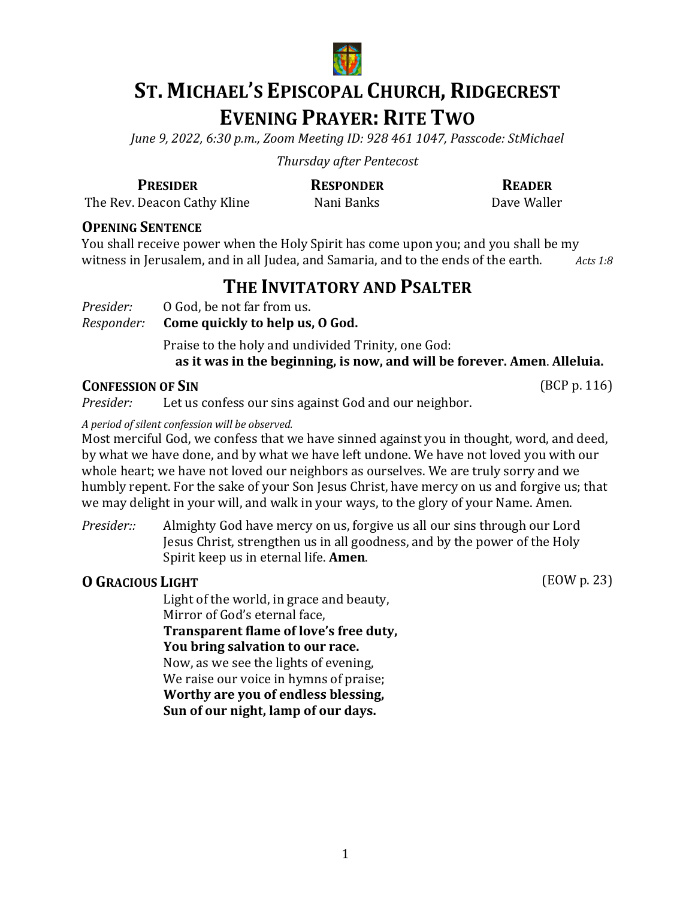

# **ST. MICHAEL'S EPISCOPAL CHURCH, RIDGECREST EVENING PRAYER: RITE TWO**

*June 9, 2022, 6:30 p.m., Zoom Meeting ID: 928 461 1047, Passcode: StMichael*

*Thursday after Pentecost*

**PRESIDER RESPONDER READER**

The Rev. Deacon Cathy Kline Nani Banks Dave Waller

#### **OPENING SENTENCE**

You shall receive power when the Holy Spirit has come upon you; and you shall be my witness in Jerusalem, and in all Judea, and Samaria, and to the ends of the earth.  $\frac{Acts1.8}{\pi}$ witness in Jerusalem, and in all Judea, and Samaria, and to the ends of the earth.

## **THE INVITATORY AND PSALTER**

*Presider:* O God, be not far from us.<br>*Responder:* **Come quickly to help us** 

*Come quickly to help us, O God.* 

Praise to the holy and undivided Trinity, one God: as it was in the beginning, is now, and will be forever. Amen. Alleluia.

#### **CONFESSION OF SIN** (BCP p. 116)

*Presider:* Let us confess our sins against God and our neighbor.

*A period of silent confession will be observed.*

Most merciful God, we confess that we have sinned against you in thought, word, and deed, by what we have done, and by what we have left undone. We have not loved you with our whole heart; we have not loved our neighbors as ourselves. We are truly sorry and we humbly repent. For the sake of your Son Jesus Christ, have mercy on us and forgive us; that we may delight in your will, and walk in your ways, to the glory of your Name. Amen.

*Presider::* Almighty God have mercy on us, forgive us all our sins through our Lord Jesus Christ, strengthen us in all goodness, and by the power of the Holy Spirit keep us in eternal life. **Amen.** 

## **O** GRACIOUS LIGHT (EOW p. 23)

Light of the world, in grace and beauty, Mirror of God's eternal face, **Transparent flame of love's free duty, You bring salvation to our race.** Now, as we see the lights of evening, We raise our voice in hymns of praise; **Worthy are you of endless blessing, Sun of our night, lamp of our days.**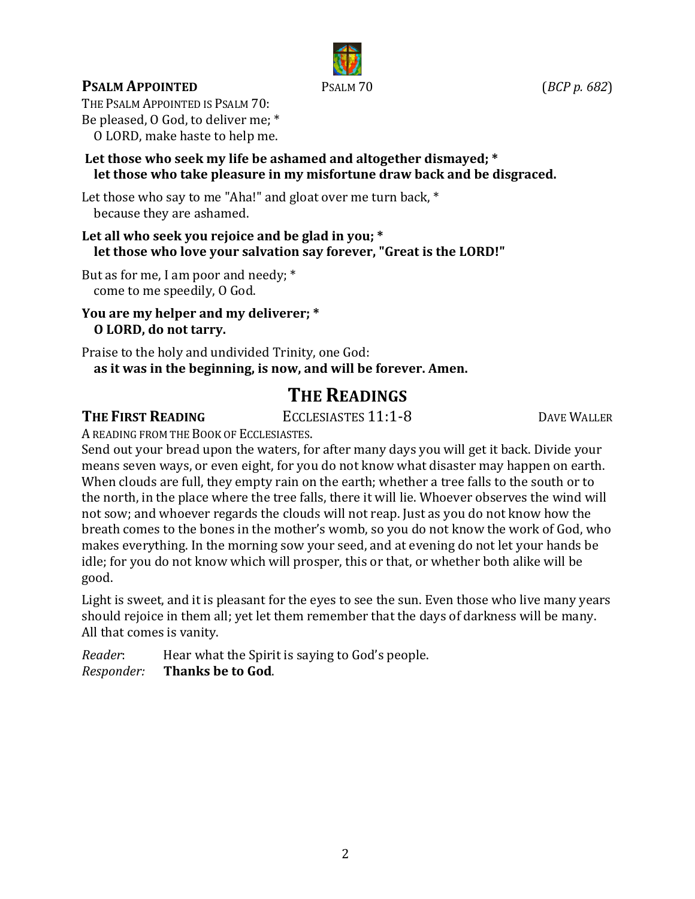## **PSALM APPOINTED** PSALM 70 (*BCP p. 682*)

THE PSALM APPOINTED IS PSALM 70: Be pleased, O God, to deliver me: \* O LORD, make haste to help me.

## Let those who seek my life be ashamed and altogether dismayed; \* let those who take pleasure in my misfortune draw back and be disgraced.

Let those who say to me "Aha!" and gloat over me turn back,  $*$ because they are ashamed.

#### Let all who seek you rejoice and be glad in you; \* let those who love your salvation say forever, "Great is the LORD!"

But as for me, I am poor and needy;  $*$ come to me speedily, O God.

#### You are my helper and my deliverer; \* **O** LORD, do not tarry.

Praise to the holy and undivided Trinity, one God: as it was in the beginning, is now, and will be forever. Amen.

# **THE READINGS**

## **THE FIRST READING ECCLESIASTES 11:1-8** DAVE WALLER

A READING FROM THE BOOK OF ECCLESIASTES.

Send out your bread upon the waters, for after many days you will get it back. Divide your means seven ways, or even eight, for you do not know what disaster may happen on earth. When clouds are full, they empty rain on the earth; whether a tree falls to the south or to the north, in the place where the tree falls, there it will lie. Whoever observes the wind will not sow; and whoever regards the clouds will not reap. Just as you do not know how the breath comes to the bones in the mother's womb, so you do not know the work of God, who makes everything. In the morning sow your seed, and at evening do not let your hands be idle; for you do not know which will prosper, this or that, or whether both alike will be good. 

Light is sweet, and it is pleasant for the eyes to see the sun. Even those who live many years should rejoice in them all; yet let them remember that the days of darkness will be many. All that comes is vanity.

*Reader*: Hear what the Spirit is saying to God's people.<br>*Responder:* Thanks be to God. **Thanks be to God.** 

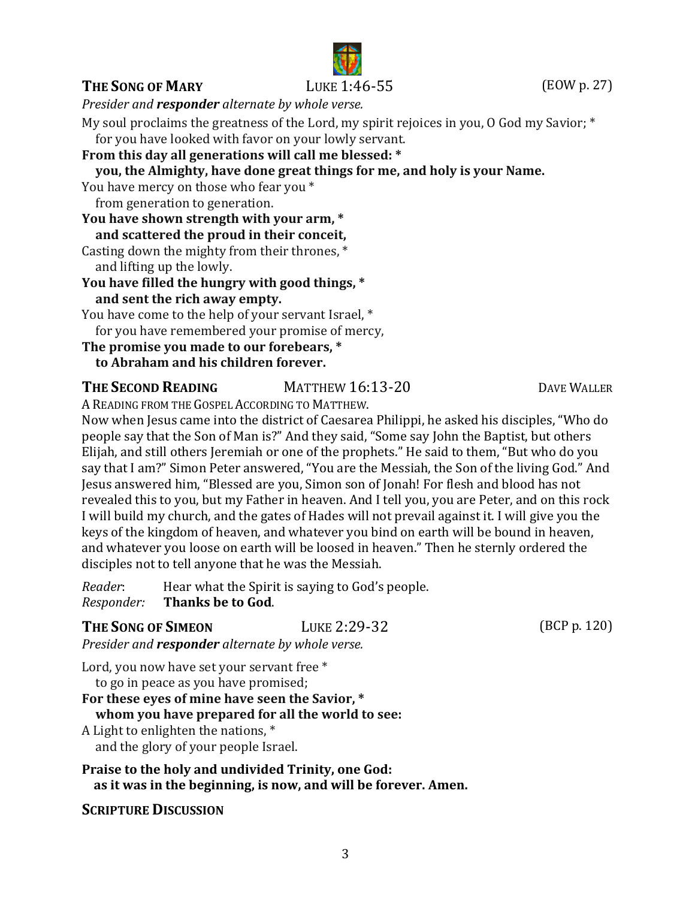

*Presider and responder alternate by whole verse.*

My soul proclaims the greatness of the Lord, my spirit rejoices in you, O God my Savior;  $*$ 

for you have looked with favor on your lowly servant.

**From this day all generations will call me blessed: \***

**you, the Almighty, have done great things for me, and holy is your Name.**

You have mercy on those who fear you \* from generation to generation.

**You have shown strength with your arm, \* and scattered the proud in their conceit,** Casting down the mighty from their thrones,  $*$ and lifting up the lowly. **You have filled the hungry with good things, \***

**and sent the rich away empty.**

You have come to the help of your servant Israel, \* for you have remembered your promise of mercy,

**The promise you made to our forebears, \***

# **to Abraham and his children forever.**

## **THE SECOND READING** MATTHEW 16:13-20 DAVE WALLER

A READING FROM THE GOSPEL ACCORDING TO MATTHEW.

Now when Jesus came into the district of Caesarea Philippi, he asked his disciples, "Who do people say that the Son of Man is?" And they said, "Some say John the Baptist, but others Elijah, and still others Jeremiah or one of the prophets." He said to them, "But who do you say that I am?" Simon Peter answered, "You are the Messiah, the Son of the living God." And Jesus answered him, "Blessed are you, Simon son of Jonah! For flesh and blood has not revealed this to you, but my Father in heaven. And I tell you, you are Peter, and on this rock I will build my church, and the gates of Hades will not prevail against it. I will give you the keys of the kingdom of heaven, and whatever you bind on earth will be bound in heaven, and whatever you loose on earth will be loosed in heaven." Then he sternly ordered the disciples not to tell anyone that he was the Messiah.

*Reader*: Hear what the Spirit is saying to God's people.<br>*Responder:* **Thanks be to God**. *Responder:* **Thanks be to God**.

## **THE SONG OF SIMEON** LUKE 2:29-32 (BCP p. 120)

*Presider and responder alternate by whole verse.* 

Lord, you now have set your servant free \* to go in peace as you have promised;

For these eyes of mine have seen the Savior, \*

## **whom you have prepared for all the world to see:**

A Light to enlighten the nations,  $*$ and the glory of your people Israel.

**Praise to the holy and undivided Trinity, one God: as it was in the beginning, is now, and will be forever. Amen.**

## **SCRIPTURE DISCUSSION**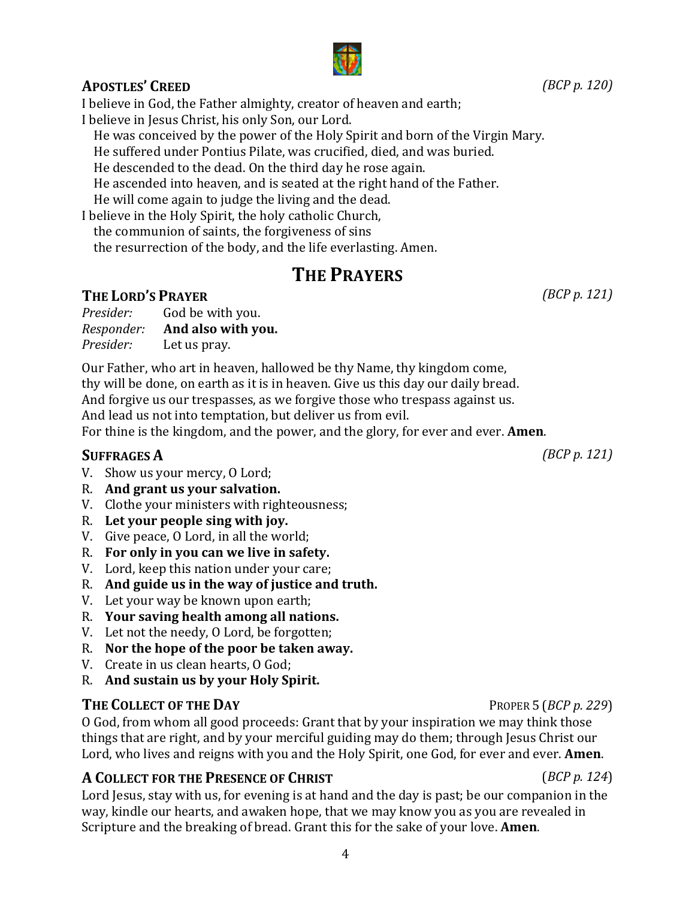## **APOSTLES' CREED** *(BCP p. 120)*

I believe in God, the Father almighty, creator of heaven and earth;

I believe in Jesus Christ, his only Son, our Lord.

He was conceived by the power of the Holy Spirit and born of the Virgin Mary.

He suffered under Pontius Pilate, was crucified, died, and was buried.

He descended to the dead. On the third day he rose again.

He ascended into heaven, and is seated at the right hand of the Father.

He will come again to judge the living and the dead.

I believe in the Holy Spirit, the holy catholic Church, the communion of saints, the forgiveness of sins

the resurrection of the body, and the life everlasting. Amen.

# **THE PRAYERS**

## **THE LORD'S PRAYER** *(BCP p. 121)*

| Presider:  | God be with you.   |
|------------|--------------------|
| Responder: | And also with you. |
| Presider:  | Let us pray.       |

Our Father, who art in heaven, hallowed be thy Name, thy kingdom come, thy will be done, on earth as it is in heaven. Give us this day our daily bread.

And forgive us our trespasses, as we forgive those who trespass against us.

And lead us not into temptation, but deliver us from evil.

For thine is the kingdom, and the power, and the glory, for ever and ever. **Amen**.

#### **SUFFRAGES A** *(BCP p. 121)*

- V. Show us your mercy, O Lord;
- R. And grant us your salvation.
- V. Clothe your ministers with righteousness;
- R. Let your people sing with joy.
- V. Give peace, O Lord, in all the world;
- R. For only in you can we live in safety.
- V. Lord, keep this nation under your care;
- R. And guide us in the way of justice and truth.
- V. Let your way be known upon earth;
- R. Your saving health among all nations.
- V. Let not the needy, O Lord, be forgotten;
- R. Nor the hope of the poor be taken away.
- V. Create in us clean hearts, O God;
- R. And sustain us by your Holy Spirit.

#### **THE COLLECT OF THE DAY** PROPER 5 (*BCP p. 229*)

O God, from whom all good proceeds: Grant that by your inspiration we may think those things that are right, and by your merciful guiding may do them; through Jesus Christ our Lord, who lives and reigns with you and the Holy Spirit, one God, for ever and ever. **Amen**.

#### **A COLLECT** FOR THE PRESENCE OF **CHRIST** (*BCP p.* 124)

Lord Jesus, stay with us, for evening is at hand and the day is past; be our companion in the way, kindle our hearts, and awaken hope, that we may know you as you are revealed in Scripture and the breaking of bread. Grant this for the sake of your love. **Amen**.